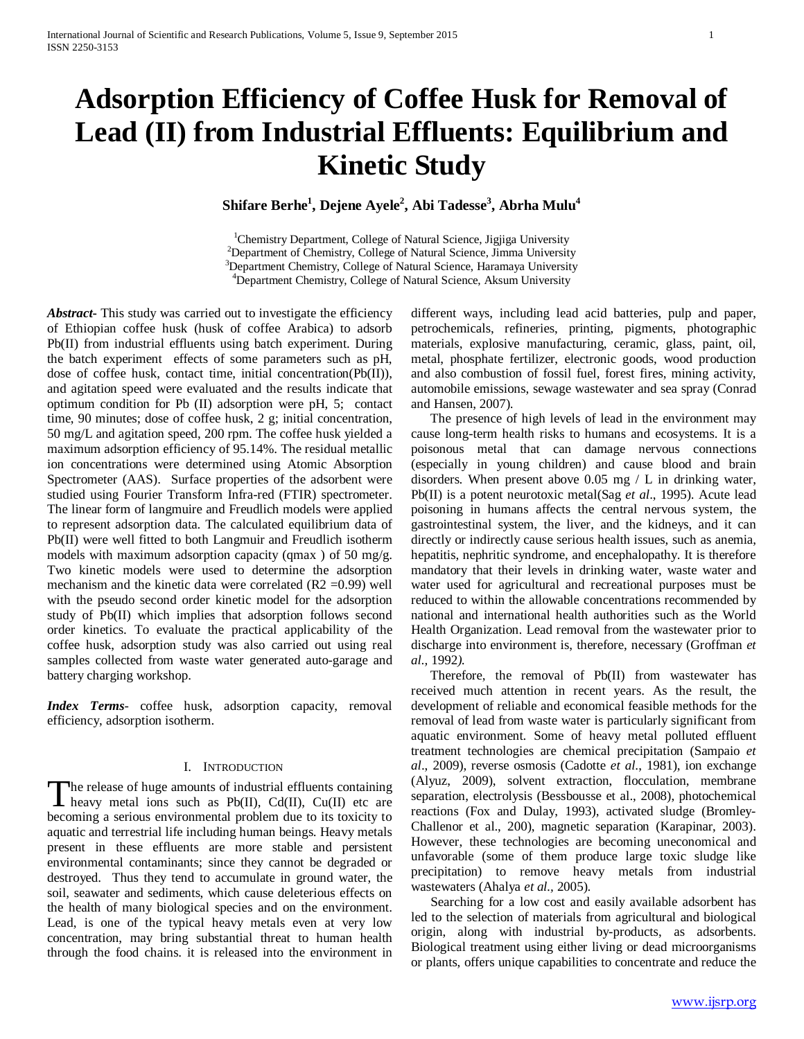# **Adsorption Efficiency of Coffee Husk for Removal of Lead (II) from Industrial Effluents: Equilibrium and Kinetic Study**

 $\mathbf{Shiftare}\ \mathbf{Berhe}^{1}, \mathbf{Dejene}\ \mathbf{Ayele}^{2}, \mathbf{Abi}\ \mathbf{Tadesse}^{3}, \mathbf{Abrha}\ \mathbf{Mulu}^{4}$ 

<sup>1</sup>Chemistry Department, College of Natural Science, Jigjiga University<br><sup>2</sup>Department of Chemistry, College of Natural Science, Jimma University  $^{2}$ Department of Chemistry, College of Natural Science, Jimma University <sup>3</sup>Department Chemistry, College of Natural Science, Haramaya University <sup>4</sup>Department Chemistry, College of Natural Science, Aksum University

*Abstract***-** This study was carried out to investigate the efficiency of Ethiopian coffee husk (husk of coffee Arabica) to adsorb Pb(II) from industrial effluents using batch experiment. During the batch experiment effects of some parameters such as pH, dose of coffee husk, contact time, initial concentration(Pb(II)), and agitation speed were evaluated and the results indicate that optimum condition for Pb (II) adsorption were pH, 5; contact time, 90 minutes; dose of coffee husk, 2 g; initial concentration, 50 mg/L and agitation speed, 200 rpm. The coffee husk yielded a maximum adsorption efficiency of 95.14%. The residual metallic ion concentrations were determined using Atomic Absorption Spectrometer (AAS). Surface properties of the adsorbent were studied using Fourier Transform Infra-red (FTIR) spectrometer. The linear form of langmuire and Freudlich models were applied to represent adsorption data. The calculated equilibrium data of Pb(II) were well fitted to both Langmuir and Freudlich isotherm models with maximum adsorption capacity (qmax ) of 50 mg/g. Two kinetic models were used to determine the adsorption mechanism and the kinetic data were correlated  $(R2 = 0.99)$  well with the pseudo second order kinetic model for the adsorption study of Pb(II) which implies that adsorption follows second order kinetics. To evaluate the practical applicability of the coffee husk, adsorption study was also carried out using real samples collected from waste water generated auto-garage and battery charging workshop.

*Index Terms*- coffee husk, adsorption capacity, removal efficiency, adsorption isotherm.

### I. INTRODUCTION

The release of huge amounts of industrial effluents containing<br>heavy metal ions such as Pb(II), Cd(II), Cu(II) etc are  $\blacksquare$  heavy metal ions such as Pb(II), Cd(II), Cu(II) etc are becoming a serious environmental problem due to its toxicity to aquatic and terrestrial life including human beings. Heavy metals present in these effluents are more stable and persistent environmental contaminants; since they cannot be degraded or destroyed. Thus they tend to accumulate in ground water, the soil, seawater and sediments, which cause deleterious effects on the health of many biological species and on the environment. Lead, is one of the typical heavy metals even at very low concentration, may bring substantial threat to human health through the food chains. it is released into the environment in

different ways, including lead acid batteries, pulp and paper, petrochemicals, refineries, printing, pigments, photographic materials, explosive manufacturing, ceramic, glass, paint, oil, metal, phosphate fertilizer, electronic goods, wood production and also combustion of fossil fuel, forest fires, mining activity, automobile emissions, sewage wastewater and sea spray (Conrad and Hansen, 2007).

 The presence of high levels of lead in the environment may cause long-term health risks to humans and ecosystems. It is a poisonous metal that can damage nervous connections (especially in young children) and cause blood and brain disorders. When present above 0.05 mg / L in drinking water, Pb(II) is a potent neurotoxic metal(Sag *et al*., 1995). Acute lead poisoning in humans affects the central nervous system, the gastrointestinal system, the liver, and the kidneys, and it can directly or indirectly cause serious health issues, such as anemia, hepatitis, nephritic syndrome, and encephalopathy. It is therefore mandatory that their levels in drinking water, waste water and water used for agricultural and recreational purposes must be reduced to within the allowable concentrations recommended by national and international health authorities such as the World Health Organization. Lead removal from the wastewater prior to discharge into environment is, therefore, necessary (Groffman *et al.,* 1992*).* 

 Therefore, the removal of Pb(II) from wastewater has received much attention in recent years. As the result, the development of reliable and economical feasible methods for the removal of lead from waste water is particularly significant from aquatic environment. Some of heavy metal polluted effluent treatment technologies are chemical precipitation (Sampaio *et al*., 2009), reverse osmosis (Cadotte *et al*., 1981), ion exchange (Alyuz, 2009), solvent extraction, flocculation, membrane separation, electrolysis (Bessbousse et al., 2008), photochemical reactions (Fox and Dulay, 1993), activated sludge (Bromley-Challenor et al., 200), magnetic separation (Karapinar, 2003). However, these technologies are becoming uneconomical and unfavorable (some of them produce large toxic sludge like precipitation) to remove heavy metals from industrial wastewaters (Ahalya *et al.,* 2005).

 Searching for a low cost and easily available adsorbent has led to the selection of materials from agricultural and biological origin, along with industrial by-products, as adsorbents. Biological treatment using either living or dead microorganisms or plants, offers unique capabilities to concentrate and reduce the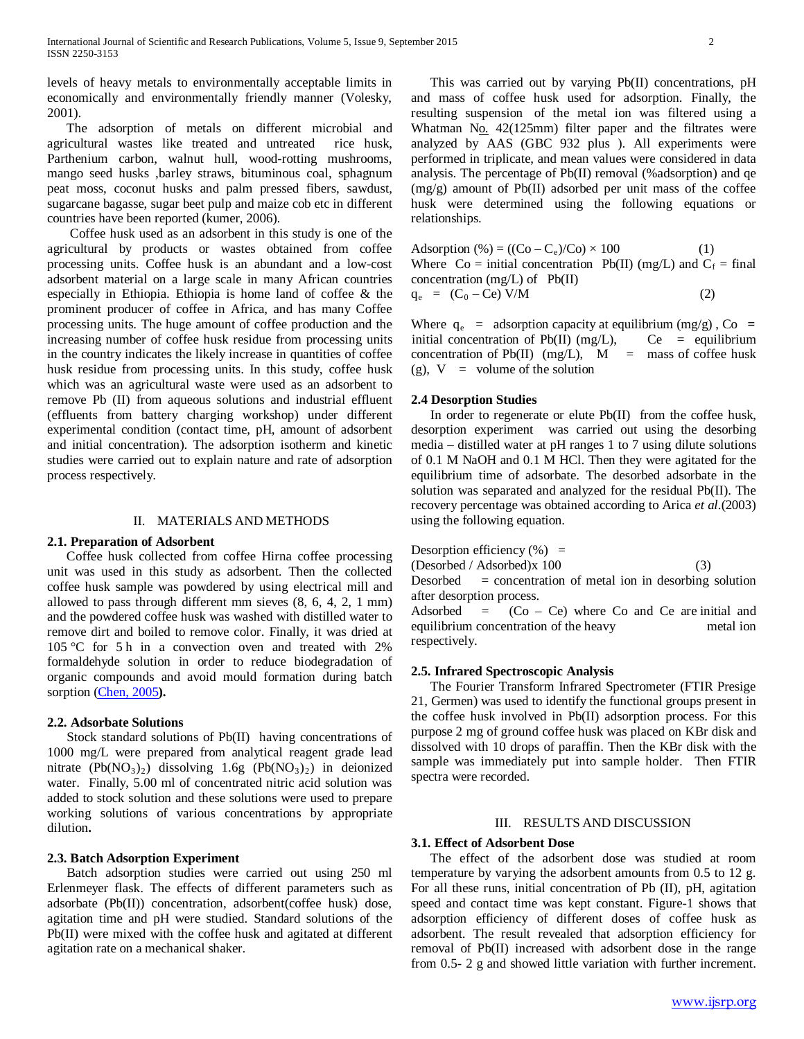levels of heavy metals to environmentally acceptable limits in economically and environmentally friendly manner (Volesky, 2001).

 The adsorption of metals on different microbial and agricultural wastes like treated and untreated rice husk, Parthenium carbon, walnut hull, wood-rotting mushrooms, mango seed husks ,barley straws, bituminous coal, sphagnum peat moss, coconut husks and palm pressed fibers, sawdust, sugarcane bagasse, sugar beet pulp and maize cob etc in different countries have been reported (kumer, 2006).

 Coffee husk used as an adsorbent in this study is one of the agricultural by products or wastes obtained from coffee processing units. Coffee husk is an abundant and a low-cost adsorbent material on a large scale in many African countries especially in Ethiopia. Ethiopia is home land of coffee & the prominent producer of coffee in Africa, and has many Coffee processing units. The huge amount of coffee production and the increasing number of coffee husk residue from processing units in the country indicates the likely increase in quantities of coffee husk residue from processing units. In this study, coffee husk which was an agricultural waste were used as an adsorbent to remove Pb (II) from aqueous solutions and industrial effluent (effluents from battery charging workshop) under different experimental condition (contact time, pH, amount of adsorbent and initial concentration). The adsorption isotherm and kinetic studies were carried out to explain nature and rate of adsorption process respectively.

# II. MATERIALS AND METHODS

# **2.1. Preparation of Adsorbent**

 Coffee husk collected from coffee Hirna coffee processing unit was used in this study as adsorbent. Then the collected coffee husk sample was powdered by using electrical mill and allowed to pass through different mm sieves (8, 6, 4, 2, 1 mm) and the powdered coffee husk was washed with distilled water to remove dirt and boiled to remove color. Finally, it was dried at 105 °C for 5 h in a convection oven and treated with 2% formaldehyde solution in order to reduce biodegradation of organic compounds and avoid mould formation during batch sorption [\(Chen, 2005](http://hinari-gw.who.int/whalecomwww.sciencedirect.com/whalecom0/science?_ob=ArticleURL&_udi=B6TGF-4P9SNJ7-7&_user=2778664&_coverDate=04%2F15%2F2008&_rdoc=25&_fmt=high&_orig=browse&_srch=doc-info(%23toc%235253%232008%23998479996%23683092%23FLA%23display%23Volume)&_cdi=5253&_sort=d&_docanchor=&_ct=58&_acct=C000049744&_version=1&_urlVersion=0&_userid=2778664&md5=874bd9f7415ff3bf09dcd5f4eb59182f#bib12)**).**

#### **2.2. Adsorbate Solutions**

 Stock standard solutions of Pb(II) having concentrations of 1000 mg/L were prepared from analytical reagent grade lead nitrate  $(Pb(NO<sub>3</sub>)<sub>2</sub>)$  dissolving 1.6g  $(Pb(NO<sub>3</sub>)<sub>2</sub>)$  in deionized water. Finally, 5.00 ml of concentrated nitric acid solution was added to stock solution and these solutions were used to prepare working solutions of various concentrations by appropriate dilution**.**

#### **2.3. Batch Adsorption Experiment**

 Batch adsorption studies were carried out using 250 ml Erlenmeyer flask. The effects of different parameters such as adsorbate (Pb(II)) concentration, adsorbent(coffee husk) dose, agitation time and pH were studied. Standard solutions of the Pb(II) were mixed with the coffee husk and agitated at different agitation rate on a mechanical shaker.

 This was carried out by varying Pb(II) concentrations, pH and mass of coffee husk used for adsorption. Finally, the resulting suspension of the metal ion was filtered using a Whatman No. 42(125mm) filter paper and the filtrates were analyzed by AAS (GBC 932 plus ). All experiments were performed in triplicate, and mean values were considered in data analysis. The percentage of Pb(II) removal (%adsorption) and qe (mg/g) amount of Pb(II) adsorbed per unit mass of the coffee husk were determined using the following equations or relationships.

Adsorption  $(\% ) = ((Co - C_e)/Co) \times 100$  (1) Where  $Co = initial concentration Pb(II) (mg/L)$  and  $C_f = final$ concentration (mg/L) of Pb(II)  $q_e = (C_0 - Ce) V/M$  (2)

Where  $q_e$  = adsorption capacity at equilibrium (mg/g), Co = initial concentration of Pb(II) (mg/L),  $Ce =$  equilibrium concentration of Pb(II)  $(mg/L)$ ,  $M =$  mass of coffee husk (g),  $V =$  volume of the solution

## **2.4 Desorption Studies**

 In order to regenerate or elute Pb(II) from the coffee husk, desorption experiment was carried out using the desorbing media – distilled water at pH ranges 1 to 7 using dilute solutions of 0.1 M NaOH and 0.1 M HCl. Then they were agitated for the equilibrium time of adsorbate. The desorbed adsorbate in the solution was separated and analyzed for the residual Pb(II). The recovery percentage was obtained according to Arica *et al*.(2003) using the following equation.

Desorption efficiency 
$$
(\%)
$$
 =

(Desorbed / Adsorbed)x 100 (3)

Desorbed  $=$  concentration of metal ion in desorbing solution after desorption process.<br>Adsorbed  $=$  (Co  $-$ 

 $=$  (Co – Ce) where Co and Ce are initial and equilibrium concentration of the heavy metal ion respectively.

# **2.5. Infrared Spectroscopic Analysis**

 The Fourier Transform Infrared Spectrometer (FTIR Presige 21, Germen) was used to identify the functional groups present in the coffee husk involved in Pb(II) adsorption process. For this purpose 2 mg of ground coffee husk was placed on KBr disk and dissolved with 10 drops of paraffin. Then the KBr disk with the sample was immediately put into sample holder. Then FTIR spectra were recorded.

# III. RESULTS AND DISCUSSION

# **3.1. Effect of Adsorbent Dose**

 The effect of the adsorbent dose was studied at room temperature by varying the adsorbent amounts from 0.5 to 12 g. For all these runs, initial concentration of Pb (II), pH, agitation speed and contact time was kept constant. Figure-1 shows that adsorption efficiency of different doses of coffee husk as adsorbent. The result revealed that adsorption efficiency for removal of Pb(II) increased with adsorbent dose in the range from 0.5- 2 g and showed little variation with further increment.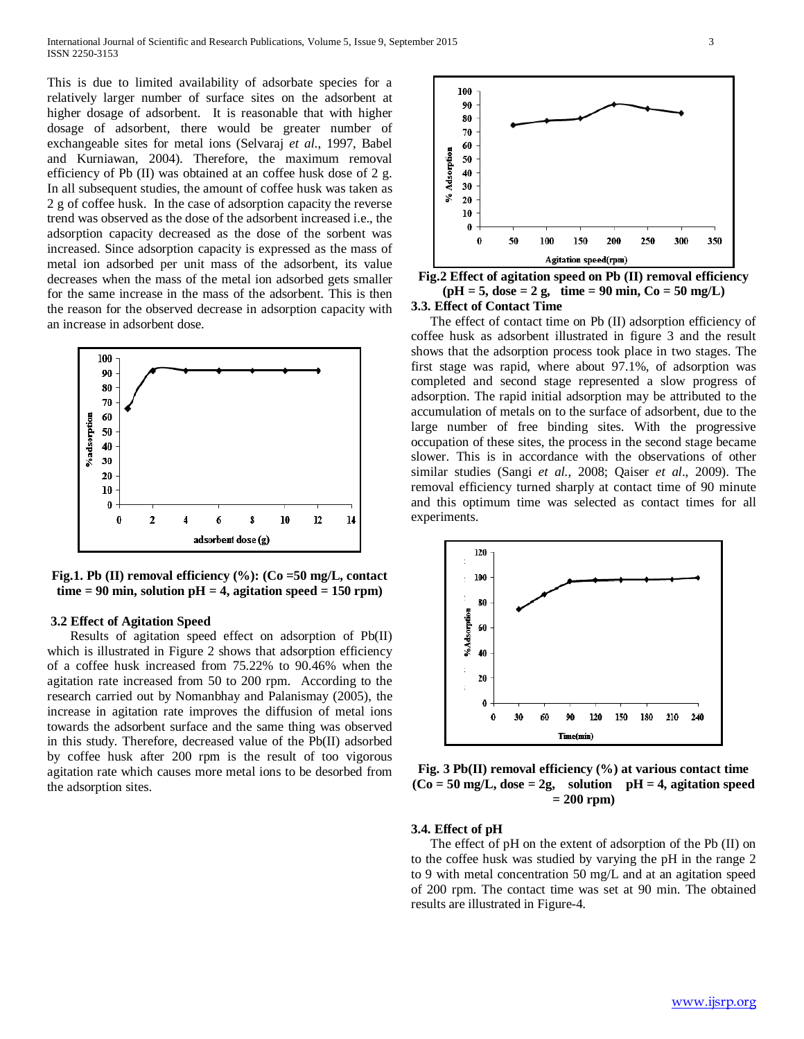This is due to limited availability of adsorbate species for a relatively larger number of surface sites on the adsorbent at higher dosage of adsorbent. It is reasonable that with higher dosage of adsorbent, there would be greater number of exchangeable sites for metal ions (Selvaraj *et al*., 1997, Babel and Kurniawan, 2004). Therefore, the maximum removal efficiency of Pb (II) was obtained at an coffee husk dose of 2 g. In all subsequent studies, the amount of coffee husk was taken as 2 g of coffee husk. In the case of adsorption capacity the reverse trend was observed as the dose of the adsorbent increased i.e., the adsorption capacity decreased as the dose of the sorbent was increased. Since adsorption capacity is expressed as the mass of metal ion adsorbed per unit mass of the adsorbent, its value decreases when the mass of the metal ion adsorbed gets smaller for the same increase in the mass of the adsorbent. This is then the reason for the observed decrease in adsorption capacity with an increase in adsorbent dose.



**Fig.1. Pb (II) removal efficiency (%): (Co =50 mg/L, contact**   $time = 90$  min, solution  $pH = 4$ , agitation speed  $= 150$  rpm)

### **3.2 Effect of Agitation Speed**

 Results of agitation speed effect on adsorption of Pb(II) which is illustrated in Figure 2 shows that adsorption efficiency of a coffee husk increased from 75.22% to 90.46% when the agitation rate increased from 50 to 200 rpm. According to the research carried out by Nomanbhay and Palanismay (2005), the increase in agitation rate improves the diffusion of metal ions towards the adsorbent surface and the same thing was observed in this study. Therefore, decreased value of the Pb(II) adsorbed by coffee husk after 200 rpm is the result of too vigorous agitation rate which causes more metal ions to be desorbed from the adsorption sites.



**Fig.2 Effect of agitation speed on Pb (II) removal efficiency**   $(pH = 5, dose = 2 g, time = 90 min, Co = 50 mg/L)$ **3.3. Effect of Contact Time**

 The effect of contact time on Pb (II) adsorption efficiency of coffee husk as adsorbent illustrated in figure 3 and the result shows that the adsorption process took place in two stages. The first stage was rapid, where about 97.1%, of adsorption was completed and second stage represented a slow progress of adsorption. The rapid initial adsorption may be attributed to the accumulation of metals on to the surface of adsorbent, due to the large number of free binding sites. With the progressive occupation of these sites, the process in the second stage became slower. This is in accordance with the observations of other similar studies (Sangi *et al.,* 2008; Qaiser *et al*., 2009). The removal efficiency turned sharply at contact time of 90 minute and this optimum time was selected as contact times for all experiments.



**Fig. 3 Pb(II) removal efficiency (%) at various contact time**   $(Co = 50$  mg/L, dose  $= 2g$ , solution  $pH = 4$ , agitation speed **= 200 rpm)**

#### **3.4. Effect of pH**

 The effect of pH on the extent of adsorption of the Pb (II) on to the coffee husk was studied by varying the pH in the range 2 to 9 with metal concentration 50 mg/L and at an agitation speed of 200 rpm. The contact time was set at 90 min. The obtained results are illustrated in Figure-4.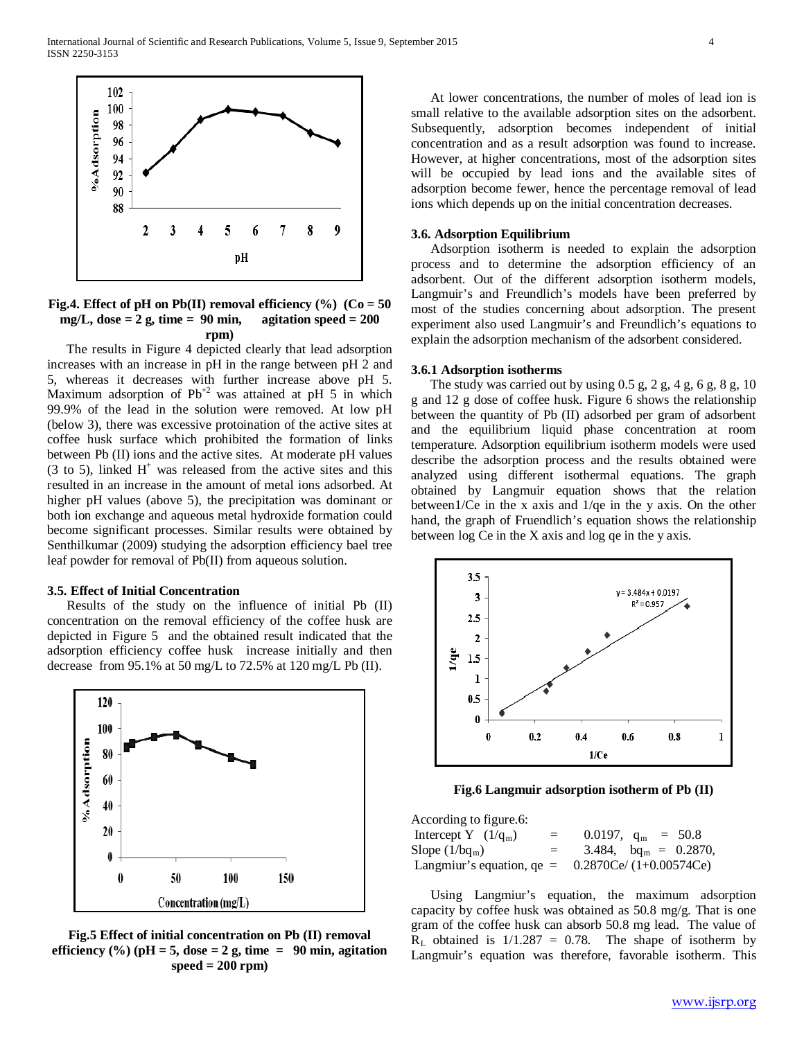

## **Fig.4. Effect of pH on Pb(II) removal efficiency (%) (Co = 50**   $mg/L$ , dose  $= 2$  g, time  $= 90$  min, agitation speed  $= 200$ **rpm)**

 The results in Figure 4 depicted clearly that lead adsorption increases with an increase in pH in the range between pH 2 and 5, whereas it decreases with further increase above pH 5. Maximum adsorption of  $Pb^{2}$  was attained at pH 5 in which 99.9% of the lead in the solution were removed. At low pH (below 3), there was excessive protoination of the active sites at coffee husk surface which prohibited the formation of links between Pb (II) ions and the active sites. At moderate pH values  $(3 \text{ to } 5)$ , linked H<sup>+</sup> was released from the active sites and this resulted in an increase in the amount of metal ions adsorbed. At higher pH values (above 5), the precipitation was dominant or both ion exchange and aqueous metal hydroxide formation could become significant processes. Similar results were obtained by Senthilkumar (2009) studying the adsorption efficiency bael tree leaf powder for removal of Pb(II) from aqueous solution.

## **3.5. Effect of Initial Concentration**

 Results of the study on the influence of initial Pb (II) concentration on the removal efficiency of the coffee husk are depicted in Figure 5 and the obtained result indicated that the adsorption efficiency coffee husk increase initially and then decrease from 95.1% at 50 mg/L to 72.5% at 120 mg/L Pb (II).



**Fig.5 Effect of initial concentration on Pb (II) removal**  efficiency  $(\%)(pH = 5, dose = 2 g, time = 90 min, agitation)$ **speed = 200 rpm)**

 At lower concentrations, the number of moles of lead ion is small relative to the available adsorption sites on the adsorbent. Subsequently, adsorption becomes independent of initial concentration and as a result adsorption was found to increase. However, at higher concentrations, most of the adsorption sites will be occupied by lead ions and the available sites of adsorption become fewer, hence the percentage removal of lead ions which depends up on the initial concentration decreases.

#### **3.6. Adsorption Equilibrium**

 Adsorption isotherm is needed to explain the adsorption process and to determine the adsorption efficiency of an adsorbent. Out of the different adsorption isotherm models, Langmuir's and Freundlich's models have been preferred by most of the studies concerning about adsorption. The present experiment also used Langmuir's and Freundlich's equations to explain the adsorption mechanism of the adsorbent considered.

#### **3.6.1 Adsorption isotherms**

The study was carried out by using  $0.5$  g,  $2$  g,  $4$  g,  $6$  g,  $8$  g,  $10$ g and 12 g dose of coffee husk. Figure 6 shows the relationship between the quantity of Pb (II) adsorbed per gram of adsorbent and the equilibrium liquid phase concentration at room temperature. Adsorption equilibrium isotherm models were used describe the adsorption process and the results obtained were analyzed using different isothermal equations. The graph obtained by Langmuir equation shows that the relation between1/Ce in the x axis and 1/qe in the y axis. On the other hand, the graph of Fruendlich's equation shows the relationship between log Ce in the X axis and log qe in the y axis.



**Fig.6 Langmuir adsorption isotherm of Pb (II)**

| According to figure.6:      |     |                           |  |                          |
|-----------------------------|-----|---------------------------|--|--------------------------|
| Intercept Y $(1/q_m)$       | $=$ | 0.0197, $q_m = 50.8$      |  |                          |
| Slope $(1/bq_m)$            | $=$ |                           |  | 3.484, $bq_m = 0.2870$ , |
| Langmiur's equation, $qe =$ |     | $0.2870Ce/ (1+0.00574Ce)$ |  |                          |

 Using Langmiur's equation, the maximum adsorption capacity by coffee husk was obtained as 50.8 mg/g. That is one gram of the coffee husk can absorb 50.8 mg lead. The value of  $R<sub>L</sub>$  obtained is  $1/1.287 = 0.78$ . The shape of isotherm by Langmuir's equation was therefore, favorable isotherm. This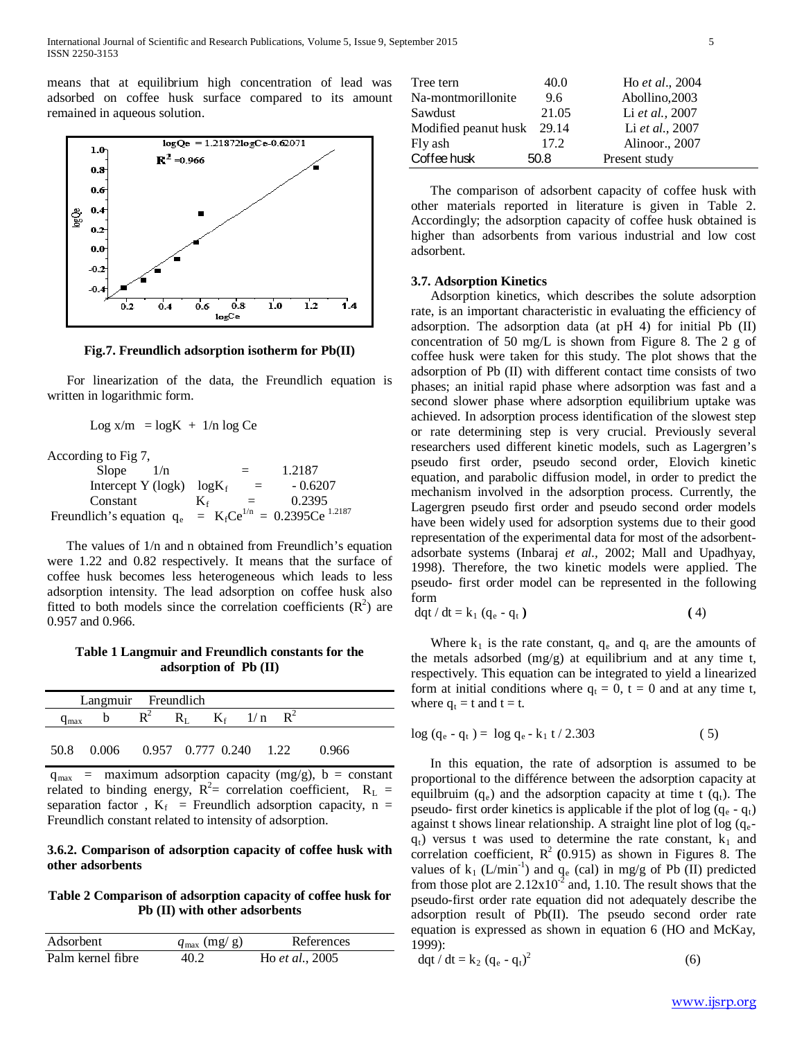means that at equilibrium high concentration of lead was adsorbed on coffee husk surface compared to its amount remained in aqueous solution.



**Fig.7. Freundlich adsorption isotherm for Pb(II)**

 For linearization of the data, the Freundlich equation is written in logarithmic form.

 $Log x/m = log K + 1/n log Ce$ 

According to Fig 7,

| Slope<br>1/n                 | $=$              | 1.2187                              |
|------------------------------|------------------|-------------------------------------|
| Intercept Y (logk) $log K_f$ | $=$              | $-0.6207$                           |
| Constant                     | $K_f$<br>$=$ $-$ | 0.2395                              |
| Freundlich's equation $q_e$  |                  | = $K_fCe^{1/n} = 0.2395Ce^{1.2187}$ |

 The values of 1/n and n obtained from Freundlich's equation were 1.22 and 0.82 respectively. It means that the surface of coffee husk becomes less heterogeneous which leads to less adsorption intensity. The lead adsorption on coffee husk also fitted to both models since the correlation coefficients  $(R^2)$  are 0.957 and 0.966.

# **Table 1 Langmuir and Freundlich constants for the adsorption of Pb (II)**

|           | Langmuir Freundlich                    |                               |  |  |       |
|-----------|----------------------------------------|-------------------------------|--|--|-------|
| $q_{max}$ |                                        | $R^2$ $R_L$ $K_f$ $1/n$ $R^2$ |  |  |       |
|           |                                        |                               |  |  |       |
| 50.8      | $0.006$ $0.957$ $0.777$ $0.240$ $1.22$ |                               |  |  | 0.966 |

 $q_{max}$  = maximum adsorption capacity (mg/g), b = constant related to binding energy,  $R^2$  = correlation coefficient,  $R_L$  = separation factor,  $K_f$  = Freundlich adsorption capacity, n = Freundlich constant related to intensity of adsorption.

# **3.6.2. Comparison of adsorption capacity of coffee husk with other adsorbents**

# **Table 2 Comparison of adsorption capacity of coffee husk for Pb (II) with other adsorbents**

| Adsorbent         | $q_{\text{max}}$ (mg/ g) | References              |  |
|-------------------|--------------------------|-------------------------|--|
| Palm kernel fibre | 40.2                     | Ho <i>et al.</i> , 2005 |  |

| Tree tern                  | 40.0  | Ho et al., 2004 |
|----------------------------|-------|-----------------|
| Na-montmorillonite         | 9.6   | Abollino, 2003  |
| Sawdust                    | 21.05 | Li et al., 2007 |
| Modified peanut husk 29.14 |       | Li et al., 2007 |
| Fly ash                    | 17.2  | Alinoor., 2007  |
| Coffee husk                | 50.8  | Present study   |

 The comparison of adsorbent capacity of coffee husk with other materials reported in literature is given in Table 2. Accordingly; the adsorption capacity of coffee husk obtained is higher than adsorbents from various industrial and low cost adsorbent.

# **3.7. Adsorption Kinetics**

 Adsorption kinetics, which describes the solute adsorption rate, is an important characteristic in evaluating the efficiency of adsorption. The adsorption data (at pH 4) for initial Pb (II) concentration of 50 mg/L is shown from Figure 8. The 2 g of coffee husk were taken for this study. The plot shows that the adsorption of Pb (II) with different contact time consists of two phases; an initial rapid phase where adsorption was fast and a second slower phase where adsorption equilibrium uptake was achieved. In adsorption process identification of the slowest step or rate determining step is very crucial. Previously several researchers used different kinetic models, such as Lagergren's pseudo first order, pseudo second order, Elovich kinetic equation, and parabolic diffusion model, in order to predict the mechanism involved in the adsorption process. Currently, the Lagergren pseudo first order and pseudo second order models have been widely used for adsorption systems due to their good representation of the experimental data for most of the adsorbentadsorbate systems (Inbaraj *et al.,* 2002; Mall and Upadhyay, 1998). Therefore, the two kinetic models were applied. The pseudo- first order model can be represented in the following form

$$
dqt/dt = k_1 (q_e - q_t)
$$
 (4)

Where  $k_1$  is the rate constant,  $q_e$  and  $q_t$  are the amounts of the metals adsorbed  $(mg/g)$  at equilibrium and at any time t, respectively. This equation can be integrated to yield a linearized form at initial conditions where  $q_t = 0$ ,  $t = 0$  and at any time t, where  $q_t = t$  and  $t = t$ .

$$
\log (q_e - q_t) = \log q_e - k_1 t / 2.303 \tag{5}
$$

 In this equation, the rate of adsorption is assumed to be proportional to the différence between the adsorption capacity at equilbruim  $(q_e)$  and the adsorption capacity at time t  $(q_t)$ . The pseudo- first order kinetics is applicable if the plot of log  $(q_e - q_t)$ against t shows linear relationship. A straight line plot of  $log(q_e$  $q_t$ ) versus t was used to determine the rate constant,  $k_1$  and correlation coefficient,  $R^2$  (0.915) as shown in Figures 8. The values of  $k_1$  (L/min<sup>-1</sup>) and  $q_e$  (cal) in mg/g of Pb (II) predicted from those plot are  $2.12 \times 10^{-2}$  and, 1.10. The result shows that the pseudo-first order rate equation did not adequately describe the adsorption result of Pb(II). The pseudo second order rate equation is expressed as shown in equation 6 (HO and McKay, 1999):

$$
dqt / dt = k_2 (q_e - q_t)^2
$$
 (6)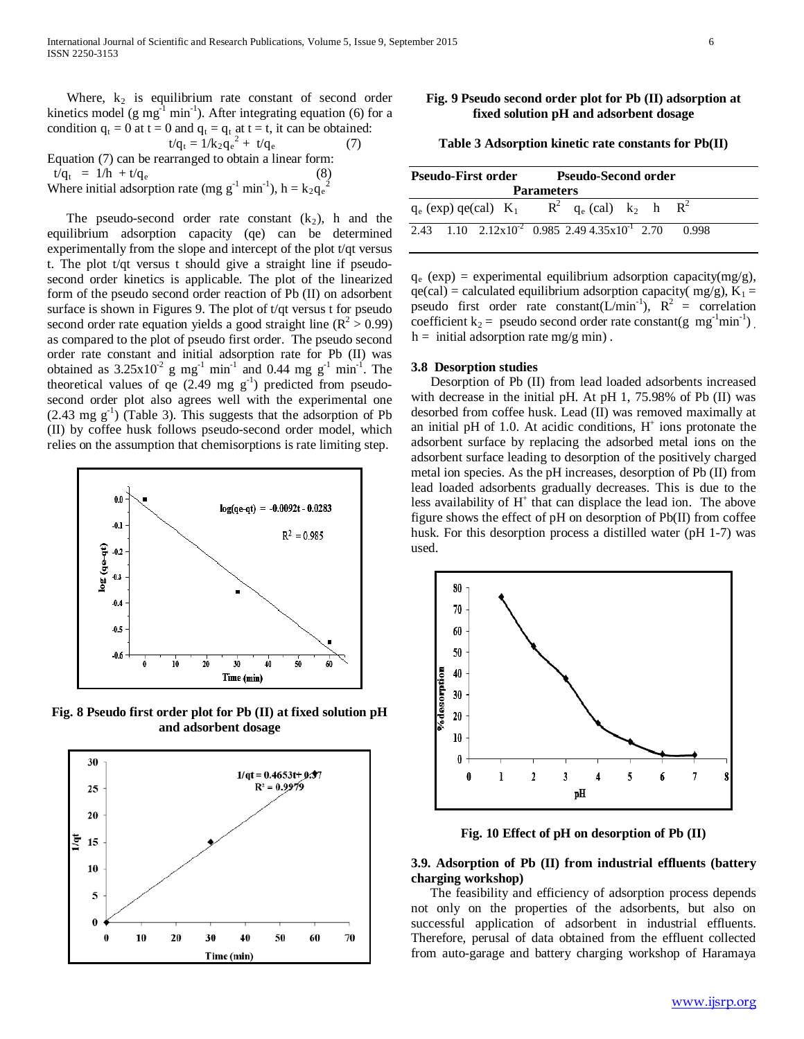Where,  $k_2$  is equilibrium rate constant of second order kinetics model (g mg<sup>-1</sup> min<sup>-1</sup>). After integrating equation (6) for a condition  $q_t = 0$  at  $t = 0$  and  $q_t = q_t$  at  $t = t$ , it can be obtained:  $t/q_t = 1/k_2q_e^2 + t/q_e$  (7)

Equation (7) can be rearranged to obtain a linear form:  $t/q_t = 1/h + t/q_e$ Where initial adsorption rate (mg  $g^{-1}$  min<sup>-1</sup>), h =  $k_2q_e^2$ 

The pseudo-second order rate constant  $(k_2)$ , h and the equilibrium adsorption capacity (qe) can be determined experimentally from the slope and intercept of the plot t/qt versus t. The plot t/qt versus t should give a straight line if pseudosecond order kinetics is applicable. The plot of the linearized form of the pseudo second order reaction of Pb (II) on adsorbent surface is shown in Figures 9. The plot of t/qt versus t for pseudo second order rate equation yields a good straight line  $(R^2 > 0.99)$ as compared to the plot of pseudo first order. The pseudo second order rate constant and initial adsorption rate for Pb (II) was obtained as  $3.25 \times 10^{-2}$  g mg<sup>-1</sup> min<sup>-1</sup> and 0.44 mg g<sup>-1</sup> min<sup>-1</sup>. The theoretical values of  $q \in (2.49 \text{ mg g}^{-1})$  predicted from pseudosecond order plot also agrees well with the experimental one  $(2.43 \text{ mg g}^{-1})$  (Table 3). This suggests that the adsorption of Pb (II) by coffee husk follows pseudo-second order model, which relies on the assumption that chemisorptions is rate limiting step.



**Fig. 8 Pseudo first order plot for Pb (II) at fixed solution pH and adsorbent dosage**



# **Fig. 9 Pseudo second order plot for Pb (II) adsorption at fixed solution pH and adsorbent dosage**

**Table 3 Adsorption kinetic rate constants for Pb(II)**

| Pseudo-First order | <b>Pseudo-Second order</b>                                                                |
|--------------------|-------------------------------------------------------------------------------------------|
|                    | <b>Parameters</b>                                                                         |
|                    | $q_e$ (exp) qe(cal) $K_1$ $R^2$ $q_e$ (cal) $k_2$ h $R^2$                                 |
|                    | $\overline{2.43}$ 1.10 $\overline{2.12x10^2}$ 0.985 2.49 4.35x10 <sup>-1</sup> 2.70 0.998 |

 $q_e$  (exp) = experimental equilibrium adsorption capacity(mg/g),  $qe(cal) = calculated equilibrium adsorption capacity(mg/g), K<sub>1</sub> =$ pseudo first order rate constant( $L/min^{-1}$ ),  $R^2$  = correlation coefficient  $k_2$  = pseudo second order rate constant(g mg<sup>-1</sup>min<sup>-1</sup>),  $h =$  initial adsorption rate mg/g min).

#### **3.8 Desorption studies**

 Desorption of Pb (II) from lead loaded adsorbents increased with decrease in the initial pH. At pH 1, 75.98% of Pb (II) was desorbed from coffee husk. Lead (II) was removed maximally at an initial pH of 1.0. At acidic conditions,  $H^+$  ions protonate the adsorbent surface by replacing the adsorbed metal ions on the adsorbent surface leading to desorption of the positively charged metal ion species. As the pH increases, desorption of Pb (II) from lead loaded adsorbents gradually decreases. This is due to the less availability of  $H^+$  that can displace the lead ion. The above figure shows the effect of pH on desorption of Pb(II) from coffee husk. For this desorption process a distilled water (pH 1-7) was used.



**Fig. 10 Effect of pH on desorption of Pb (II)**

## **3.9. Adsorption of Pb (II) from industrial effluents (battery charging workshop)**

 The feasibility and efficiency of adsorption process depends not only on the properties of the adsorbents, but also on successful application of adsorbent in industrial effluents. Therefore, perusal of data obtained from the effluent collected from auto-garage and battery charging workshop of Haramaya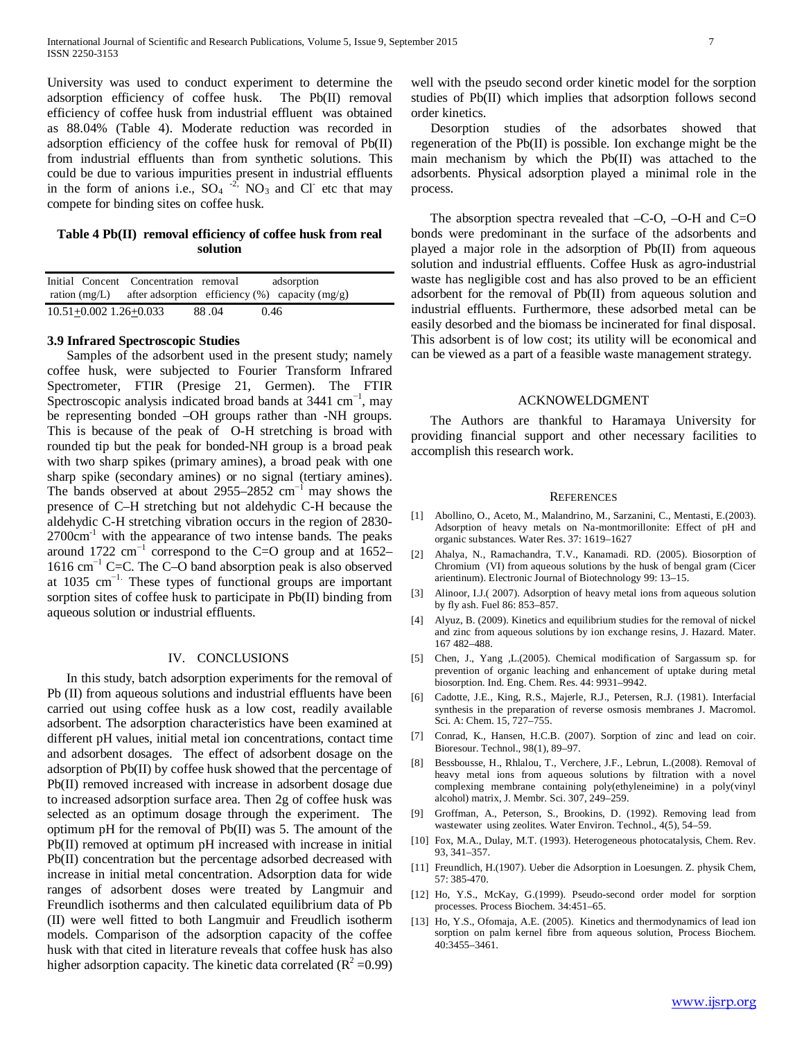University was used to conduct experiment to determine the adsorption efficiency of coffee husk. The Pb(II) removal efficiency of coffee husk from industrial effluent was obtained as 88.04% (Table 4). Moderate reduction was recorded in adsorption efficiency of the coffee husk for removal of Pb(II) from industrial effluents than from synthetic solutions. This could be due to various impurities present in industrial effluents in the form of anions i.e.,  $SO_4 \rightarrow 2$ ,  $NO_3$  and Cl etc that may compete for binding sites on coffee husk.

# **Table 4 Pb(II) removal efficiency of coffee husk from real solution**

|                            | Initial Concent Concentration removal |       | adsorption                                                       |
|----------------------------|---------------------------------------|-------|------------------------------------------------------------------|
|                            |                                       |       | ration (mg/L) after adsorption efficiency $(\%)$ capacity (mg/g) |
| $10.51 + 0.002$ 1.26+0.033 |                                       | 88.04 | 0.46                                                             |

# **3.9 Infrared Spectroscopic Studies**

 Samples of the adsorbent used in the present study; namely coffee husk, were subjected to Fourier Transform Infrared Spectrometer, FTIR (Presige 21, Germen). The FTIR Spectroscopic analysis indicated broad bands at  $3441 \text{ cm}^{-1}$ , may be representing bonded –OH groups rather than -NH groups. This is because of the peak of O-H stretching is broad with rounded tip but the peak for bonded-NH group is a broad peak with two sharp spikes (primary amines), a broad peak with one sharp spike (secondary amines) or no signal (tertiary amines). The bands observed at about 2955–2852 cm<sup>-1</sup> may shows the presence of C–H stretching but not aldehydic C-H because the aldehydic C-H stretching vibration occurs in the region of 2830-  $2700 \text{cm}^{-1}$  with the appearance of two intense bands. The peaks around 1722 cm<sup>-1</sup> correspond to the C=O group and at 1652– 1616 cm−1 C=C. The C–O band absorption peak is also observed at 1035 cm−1. These types of functional groups are important sorption sites of coffee husk to participate in Pb(II) binding from aqueous solution or industrial effluents.

#### IV. CONCLUSIONS

 In this study, batch adsorption experiments for the removal of Pb (II) from aqueous solutions and industrial effluents have been carried out using coffee husk as a low cost, readily available adsorbent. The adsorption characteristics have been examined at different pH values, initial metal ion concentrations, contact time and adsorbent dosages. The effect of adsorbent dosage on the adsorption of Pb(II) by coffee husk showed that the percentage of Pb(II) removed increased with increase in adsorbent dosage due to increased adsorption surface area. Then 2g of coffee husk was selected as an optimum dosage through the experiment. The optimum pH for the removal of Pb(II) was 5. The amount of the Pb(II) removed at optimum pH increased with increase in initial Pb(II) concentration but the percentage adsorbed decreased with increase in initial metal concentration. Adsorption data for wide ranges of adsorbent doses were treated by Langmuir and Freundlich isotherms and then calculated equilibrium data of Pb (II) were well fitted to both Langmuir and Freudlich isotherm models. Comparison of the adsorption capacity of the coffee husk with that cited in literature reveals that coffee husk has also higher adsorption capacity. The kinetic data correlated ( $\mathbb{R}^2$  =0.99) well with the pseudo second order kinetic model for the sorption studies of Pb(II) which implies that adsorption follows second order kinetics.

 Desorption studies of the adsorbates showed that regeneration of the Pb(II) is possible. Ion exchange might be the main mechanism by which the Pb(II) was attached to the adsorbents. Physical adsorption played a minimal role in the process.

The absorption spectra revealed that  $-C-O$ ,  $-O-H$  and  $C=O$ bonds were predominant in the surface of the adsorbents and played a major role in the adsorption of Pb(II) from aqueous solution and industrial effluents. Coffee Husk as agro-industrial waste has negligible cost and has also proved to be an efficient adsorbent for the removal of Pb(II) from aqueous solution and industrial effluents. Furthermore, these adsorbed metal can be easily desorbed and the biomass be incinerated for final disposal. This adsorbent is of low cost; its utility will be economical and can be viewed as a part of a feasible waste management strategy.

#### ACKNOWELDGMENT

 The Authors are thankful to Haramaya University for providing financial support and other necessary facilities to accomplish this research work.

#### **REFERENCES**

- [1] Abollino, O., Aceto, M., Malandrino, M., Sarzanini, C., Mentasti, E.(2003). Adsorption of heavy metals on Na-montmorillonite: Effect of pH and organic substances. Water Res. 37: 1619–1627
- [2] Ahalya, N., Ramachandra, T.V., Kanamadi. RD. (2005). Biosorption of Chromium (VI) from aqueous solutions by the husk of bengal gram (Cicer arientinum). Electronic Journal of Biotechnology 99: 13–15.
- [3] Alinoor, I.J.( 2007). Adsorption of heavy metal ions from aqueous solution by fly ash. Fuel 86: 853–857.
- [4] Alyuz, B. (2009). Kinetics and equilibrium studies for the removal of nickel and zinc from aqueous solutions by ion exchange resins, J. Hazard. Mater. 167 482–488.
- [5] Chen, J., Yang ,L.(2005). Chemical modification of Sargassum sp. for prevention of organic leaching and enhancement of uptake during metal biosorption. Ind. Eng. Chem. Res. 44: 9931–9942.
- [6] Cadotte, J.E., King, R.S., Majerle, R.J., Petersen, R.J. (1981). Interfacial synthesis in the preparation of reverse osmosis membranes J. Macromol. Sci. A: Chem. 15, 727–755.
- [7] Conrad, K., Hansen, H.C.B. (2007). Sorption of zinc and lead on coir. Bioresour. Technol., 98(1), 89–97.
- [8] Bessbousse, H., Rhlalou, T., Verchere, J.F., Lebrun, L.(2008). Removal of heavy metal ions from aqueous solutions by filtration with a novel complexing membrane containing poly(ethyleneimine) in a poly(vinyl alcohol) matrix, J. Membr. Sci. 307, 249–259.
- [9] Groffman, A., Peterson, S., Brookins, D. (1992). Removing lead from wastewater using zeolites. Water Environ. Technol., 4(5), 54–59.
- [10] Fox, M.A., Dulay, M.T. (1993). Heterogeneous photocatalysis, Chem. Rev. 93, 341–357.
- [11] Freundlich, H.(1907). Ueber die Adsorption in Loesungen. Z. physik Chem, 57: 385-470.
- [12] Ho, Y.S., McKay, G.(1999). Pseudo-second order model for sorption processes. Process Biochem. 34:451–65.
- [13] Ho, Y.S., Ofomaja, A.E. (2005). Kinetics and thermodynamics of lead ion sorption on palm kernel fibre from aqueous solution, Process Biochem. 40:3455–3461.